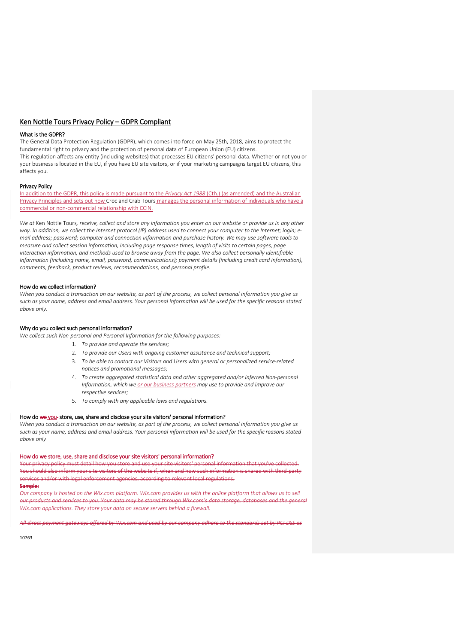# Ken Nottle Tours Privacy Policy – GDPR Compliant

## What is the GDPR?

The General Data Protection Regulation (GDPR), which comes into force on May 25th, 2018, aims to protect the fundamental right to privacy and the protection of personal data of European Union (EU) citizens. This regulation affects any entity (including websites) that processes EU citizens' personal data. Whether or not you or your business is located in the EU, if you have EU site visitors, or if your marketing campaigns target EU citizens, this affects you.

### Privacy Policy

In addition to the GDPR, this policy is made pursuant to the *Privacy Act 1988* (Cth.) (as amended) and the Australian Privacy Principles and sets out how Croc and Crab Tours manages the personal information of individuals who have a commercial or non-commercial relationship with CCIN.

*We at* Ken Nottle Tours*, receive, collect and store any information you enter on our website or provide us in any other way. In addition, we collect the Internet protocol (IP) address used to connect your computer to the Internet; login; email address; password; computer and connection information and purchase history. We may use software tools to measure and collect session information, including page response times, length of visits to certain pages, page interaction information, and methods used to browse away from the page. We also collect personally identifiable information (including name, email, password, communications); payment details (including credit card information), comments, feedback, product reviews, recommendations, and personal profile.*

## How do we collect information?

*When you conduct a transaction on our website, as part of the process, we collect personal information you give us such as your name, address and email address. Your personal information will be used for the specific reasons stated above only.*

## Why do you collect such personal information?

*We collect such Non-personal and Personal Information for the following purposes:*

- 1. *To provide and operate the services;*
- 2. *To provide our Users with ongoing customer assistance and technical support;*
- 3. *To be able to contact our Visitors and Users with general or personalized service-related notices and promotional messages;*
- 4. *To create aggregated statistical data and other aggregated and/or inferred Non-personal Information, which we or our business partners may use to provide and improve our respective services;*
- 5. *To comply with any applicable laws and regulations.*

## How do we you- store, use, share and disclose your site visitors' personal information?

*When you conduct a transaction on our website, as part of the process, we collect personal information you give us such as your name, address and email address. Your personal information will be used for the specific reasons stated above only*

## How do we store, use, share and disclose your site visitors' personal information?

Your privacy policy must detail how you store and use your site visitors' personal information that you've collected. You should also inform your site visitors of the website if, when and how such information is shared with third-party services and/or with legal enforcement agencies, according to relevant local regulations.

# Sample:

 $\overline{\phantom{a}}$ 

*Our company is hosted on the Wix.com platform. Wix.com provides us with the online platform that allows us to sell our products and services to you. Your data may be stored through Wix.com's data storage, databases and the general Wix.com applications. They store your data on secure servers behind a firewall.*

*All direct payment gateways offered by Wix.com and used by our company adhere to the standards set by PCI-DSS as* 

10763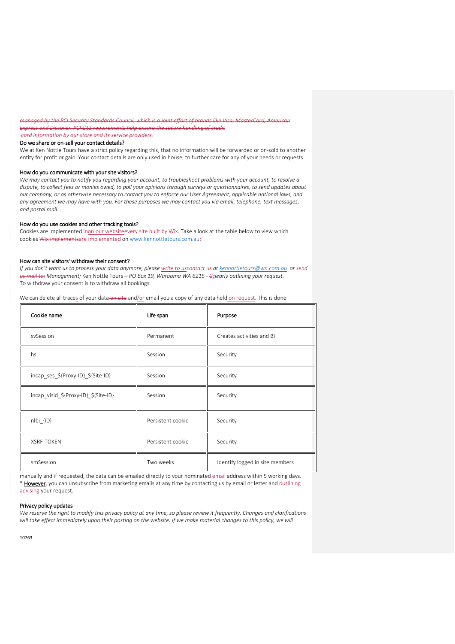*managed by the PCI Security Standards Council, which is a joint effort of brands like Visa, MasterCard, American Express and Discover. PCI-DSS requirements help ensure the secure handling of credit* 

### Do we share or on-sell your contact details?

We at Ken Nottle Tours have a strict policy regarding this, that no information will be forwarded or on-sold to another entity for profit or gain. Your contact details are only used in house, to further care for any of your needs or requests.

## How do you communicate with your site visitors?

*card information by our store and its service providers.*

*We may contact you to notify you regarding your account, to troubleshoot problems with your account, to resolve a dispute, to collect fees or monies owed, to poll your opinions through surveys or questionnaires, to send updates about our company, or as otherwise necessary to contact you to enforce our User Agreement, applicable national laws, and any agreement we may have with you. For these purposes we may contact you via email, telephone, text messages, and postal mail.*

### How do you use cookies and other tracking tools?

Cookies are implemented inon our websiteevery site built by Wix. Take a look at the table below to view which cookies Wix implementsare implemented o[n www.kennottletours.com.au:](http://www.kennottletours.com.au/)

#### How can site visitors' withdraw their consent?

*If you don't want us to process your data anymore, please write to uscontact us at [kennottletours@wn.com.au](mailto:kennottletours@wn.com.au)* or-sen *us mail to: Management;* Ken Nottle Tours *– PO Box 19, Warooma WA 6215 - Cclearly outlining your request.* To withdraw your consent is to withdraw all bookings.

We can delete all traces of your data on site and/or email you a copy of any data held on request. This is done

| Cookie name                          | Life span         | Purpose                         |
|--------------------------------------|-------------------|---------------------------------|
| sySession                            | Permanent         | Creates activities and BI       |
| hs                                   | Session           | Security                        |
| incap_ses_\${Proxy-ID}_\${Site-ID}   | Session           | Security                        |
| incap visid \${Proxy-ID} \${Site-ID} | Session           | Security                        |
| $nIbi \{ID\}$                        | Persistent cookie | Security                        |
| <b>XSRF-TOKEN</b>                    | Persistent cookie | Security                        |
| smSession                            | Two weeks         | Identify logged in site members |

manually and if requested, the data can be emailed directly to your nominated email address within 5 working days. \* However, you can unsubscribe from marketing emails at any time by contacting us by email or letter and <del>outlining</del> advising your request.

## Privacy policy updates

*We reserve the right to modify this privacy policy at any time, so please review it frequently. Changes and clarifications will take effect immediately upon their posting on the website. If we make material changes to this policy, we will* 

10763